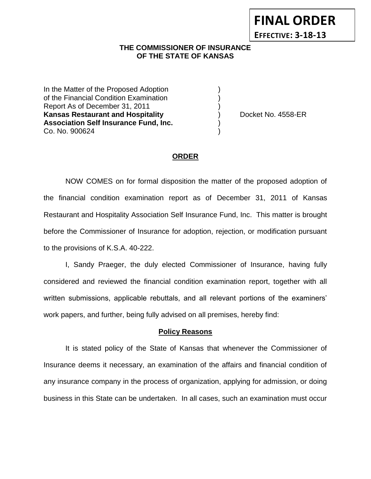# **THE COMMISSIONER OF INSURANCE OF THE STATE OF KANSAS**

In the Matter of the Proposed Adoption of the Financial Condition Examination ) Report As of December 31, 2011 ) **Kansas Restaurant and Hospitality** (and  $\overline{a}$ ) Docket No. 4558-ER **Association Self Insurance Fund, Inc.** ) Co. No. 900624 )

**FINAL ORDER**

**EFFECTIVE: 3-18-13**

#### **ORDER**

NOW COMES on for formal disposition the matter of the proposed adoption of the financial condition examination report as of December 31, 2011 of Kansas Restaurant and Hospitality Association Self Insurance Fund, Inc. This matter is brought before the Commissioner of Insurance for adoption, rejection, or modification pursuant to the provisions of K.S.A. 40-222.

I, Sandy Praeger, the duly elected Commissioner of Insurance, having fully considered and reviewed the financial condition examination report, together with all written submissions, applicable rebuttals, and all relevant portions of the examiners' work papers, and further, being fully advised on all premises, hereby find:

#### **Policy Reasons**

It is stated policy of the State of Kansas that whenever the Commissioner of Insurance deems it necessary, an examination of the affairs and financial condition of any insurance company in the process of organization, applying for admission, or doing business in this State can be undertaken. In all cases, such an examination must occur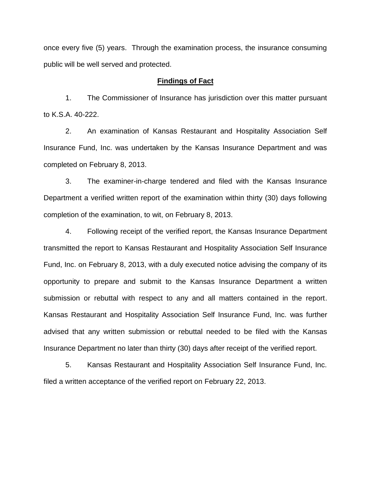once every five (5) years. Through the examination process, the insurance consuming public will be well served and protected.

#### **Findings of Fact**

1. The Commissioner of Insurance has jurisdiction over this matter pursuant to K.S.A. 40-222.

2. An examination of Kansas Restaurant and Hospitality Association Self Insurance Fund, Inc. was undertaken by the Kansas Insurance Department and was completed on February 8, 2013.

3. The examiner-in-charge tendered and filed with the Kansas Insurance Department a verified written report of the examination within thirty (30) days following completion of the examination, to wit, on February 8, 2013.

4. Following receipt of the verified report, the Kansas Insurance Department transmitted the report to Kansas Restaurant and Hospitality Association Self Insurance Fund, Inc. on February 8, 2013, with a duly executed notice advising the company of its opportunity to prepare and submit to the Kansas Insurance Department a written submission or rebuttal with respect to any and all matters contained in the report. Kansas Restaurant and Hospitality Association Self Insurance Fund, Inc. was further advised that any written submission or rebuttal needed to be filed with the Kansas Insurance Department no later than thirty (30) days after receipt of the verified report.

5. Kansas Restaurant and Hospitality Association Self Insurance Fund, Inc. filed a written acceptance of the verified report on February 22, 2013.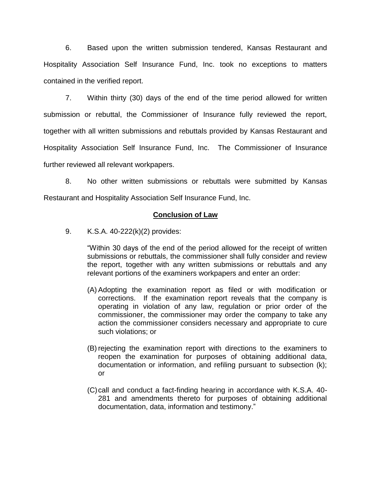6. Based upon the written submission tendered, Kansas Restaurant and Hospitality Association Self Insurance Fund, Inc. took no exceptions to matters contained in the verified report.

7. Within thirty (30) days of the end of the time period allowed for written submission or rebuttal, the Commissioner of Insurance fully reviewed the report, together with all written submissions and rebuttals provided by Kansas Restaurant and Hospitality Association Self Insurance Fund, Inc. The Commissioner of Insurance further reviewed all relevant workpapers.

8. No other written submissions or rebuttals were submitted by Kansas Restaurant and Hospitality Association Self Insurance Fund, Inc.

## **Conclusion of Law**

9. K.S.A. 40-222(k)(2) provides:

"Within 30 days of the end of the period allowed for the receipt of written submissions or rebuttals, the commissioner shall fully consider and review the report, together with any written submissions or rebuttals and any relevant portions of the examiners workpapers and enter an order:

- (A) Adopting the examination report as filed or with modification or corrections. If the examination report reveals that the company is operating in violation of any law, regulation or prior order of the commissioner, the commissioner may order the company to take any action the commissioner considers necessary and appropriate to cure such violations; or
- (B) rejecting the examination report with directions to the examiners to reopen the examination for purposes of obtaining additional data, documentation or information, and refiling pursuant to subsection (k); or
- (C)call and conduct a fact-finding hearing in accordance with K.S.A. 40- 281 and amendments thereto for purposes of obtaining additional documentation, data, information and testimony."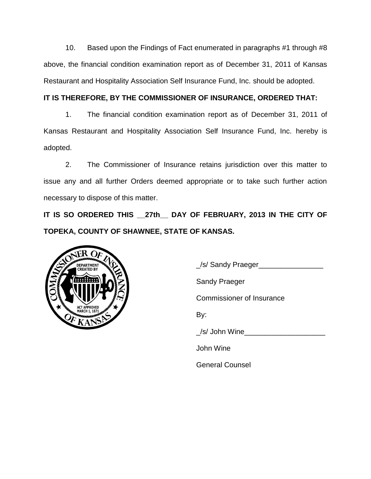10. Based upon the Findings of Fact enumerated in paragraphs #1 through #8 above, the financial condition examination report as of December 31, 2011 of Kansas Restaurant and Hospitality Association Self Insurance Fund, Inc. should be adopted.

# **IT IS THEREFORE, BY THE COMMISSIONER OF INSURANCE, ORDERED THAT:**

1. The financial condition examination report as of December 31, 2011 of Kansas Restaurant and Hospitality Association Self Insurance Fund, Inc. hereby is adopted.

2. The Commissioner of Insurance retains jurisdiction over this matter to issue any and all further Orders deemed appropriate or to take such further action necessary to dispose of this matter.

**IT IS SO ORDERED THIS \_\_27th\_\_ DAY OF FEBRUARY, 2013 IN THE CITY OF TOPEKA, COUNTY OF SHAWNEE, STATE OF KANSAS.**



\_/s/ Sandy Praeger\_\_\_\_\_\_\_\_\_\_\_\_\_\_\_\_

Sandy Praeger

Commissioner of Insurance

By:

/s/ John Wine

John Wine

General Counsel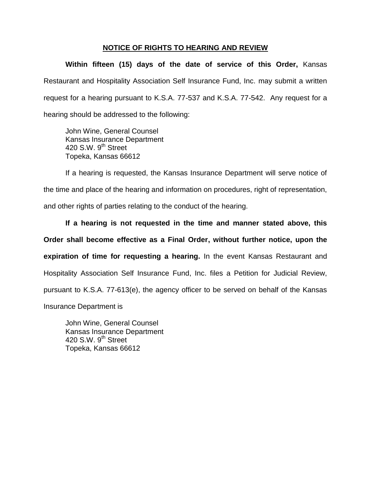# **NOTICE OF RIGHTS TO HEARING AND REVIEW**

**Within fifteen (15) days of the date of service of this Order,** Kansas Restaurant and Hospitality Association Self Insurance Fund, Inc. may submit a written request for a hearing pursuant to K.S.A. 77-537 and K.S.A. 77-542. Any request for a hearing should be addressed to the following:

John Wine, General Counsel Kansas Insurance Department 420 S.W. 9<sup>th</sup> Street Topeka, Kansas 66612

If a hearing is requested, the Kansas Insurance Department will serve notice of the time and place of the hearing and information on procedures, right of representation, and other rights of parties relating to the conduct of the hearing.

**If a hearing is not requested in the time and manner stated above, this Order shall become effective as a Final Order, without further notice, upon the expiration of time for requesting a hearing.** In the event Kansas Restaurant and Hospitality Association Self Insurance Fund, Inc. files a Petition for Judicial Review, pursuant to K.S.A. 77-613(e), the agency officer to be served on behalf of the Kansas Insurance Department is

John Wine, General Counsel Kansas Insurance Department 420 S.W.  $9<sup>th</sup>$  Street Topeka, Kansas 66612